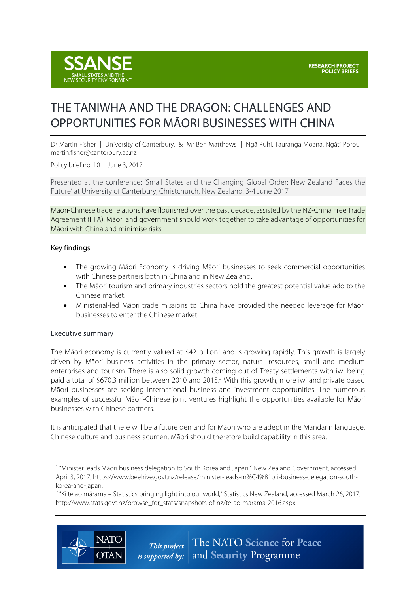

# THE TANIWHA AND THE DRAGON: CHALLENGES AND OPPORTUNITIES FOR MĀORI BUSINESSES WITH CHINA

Dr Martin Fisher | University of Canterbury, & Mr Ben Matthews | Ngā Puhi, Tauranga Moana, Ngāti Porou | martin.fisher@canterbury.ac.nz

Policy brief no. 10 | June 3, 2017

Presented at the conference: 'Small States and the Changing Global Order: New Zealand Faces the Future' at University of Canterbury, Christchurch, New Zealand, 3-4 June 2017

Māori-Chinese trade relations have flourished over the past decade, assisted by the NZ-China Free Trade Agreement (FTA). Māori and government should work together to take advantage of opportunities for Māori with China and minimise risks.

#### Key findings

- The growing Māori Economy is driving Māori businesses to seek commercial opportunities with Chinese partners both in China and in New Zealand.
- The Māori tourism and primary industries sectors hold the greatest potential value add to the Chinese market.
- Ministerial-led Māori trade missions to China have provided the needed leverage for Māori businesses to enter the Chinese market.

### Executive summary

 $\overline{a}$ 

The Māori economy is currently valued at  $\frac{542 \text{ billion}}{1}$  and is growing rapidly. This growth is largely driven by Māori business activities in the primary sector, natural resources, small and medium enterprises and tourism. There is also solid growth coming out of Treaty settlements with iwi being paid a total of \$670.3 million between 2010 and 2015.2 With this growth, more iwi and private based Māori businesses are seeking international business and investment opportunities. The numerous examples of successful Māori-Chinese joint ventures highlight the opportunities available for Māori businesses with Chinese partners.

It is anticipated that there will be a future demand for Māori who are adept in the Mandarin language, Chinese culture and business acumen. Māori should therefore build capability in this area.

<sup>&</sup>lt;sup>2</sup> "Ki te ao mārama – Statistics bringing light into our world," Statistics New Zealand, accessed March 26, 2017, http://www.stats.govt.nz/browse\_for\_stats/snapshots-of-nz/te-ao-marama-2016.aspx



<sup>&</sup>lt;sup>1</sup> "Minister leads Māori business delegation to South Korea and Japan," New Zealand Government, accessed April 3, 2017, https://www.beehive.govt.nz/release/minister-leads-m%C4%81ori-business-delegation-southkorea-and-japan.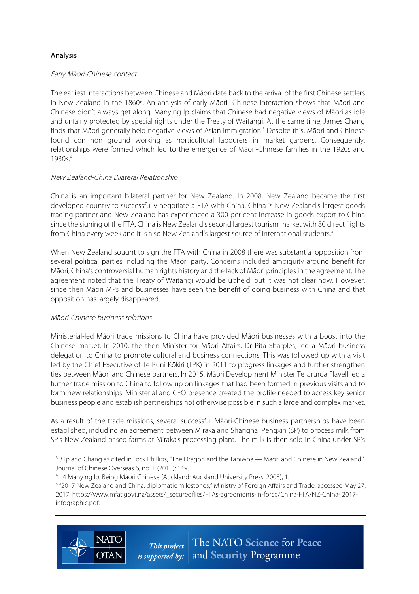## Analysis

#### Early Ma*̄*ori-Chinese contact

The earliest interactions between Chinese and Māori date back to the arrival of the first Chinese settlers in New Zealand in the 1860s. An analysis of early Māori- Chinese interaction shows that Māori and Chinese didn't always get along. Manying Ip claims that Chinese had negative views of Māori as idle and unfairly protected by special rights under the Treaty of Waitangi. At the same time, James Chang finds that Māori generally held negative views of Asian immigration.3 Despite this, Māori and Chinese found common ground working as horticultural labourers in market gardens. Consequently, relationships were formed which led to the emergence of Māori-Chinese families in the 1920s and 1930s.4

### New Zealand-China Bilateral Relationship

China is an important bilateral partner for New Zealand. In 2008, New Zealand became the first developed country to successfully negotiate a FTA with China. China is New Zealand's largest goods trading partner and New Zealand has experienced a 300 per cent increase in goods export to China since the signing of the FTA. China is New Zealand's second largest tourism market with 80 direct flights from China every week and it is also New Zealand's largest source of international students.<sup>5</sup>

When New Zealand sought to sign the FTA with China in 2008 there was substantial opposition from several political parties including the Māori party. Concerns included ambiguity around benefit for Māori, China's controversial human rights history and the lack of Māori principles in the agreement. The agreement noted that the Treaty of Waitangi would be upheld, but it was not clear how. However, since then Māori MPs and businesses have seen the benefit of doing business with China and that opposition has largely disappeared.

### Ma*̄*ori-Chinese business relations

Ministerial-led Māori trade missions to China have provided Māori businesses with a boost into the Chinese market. In 2010, the then Minister for Māori Affairs, Dr Pita Sharples, led a Māori business delegation to China to promote cultural and business connections. This was followed up with a visit led by the Chief Executive of Te Puni Kōkiri (TPK) in 2011 to progress linkages and further strengthen ties between Māori and Chinese partners. In 2015, Māori Development Minister Te Ururoa Flavell led a further trade mission to China to follow up on linkages that had been formed in previous visits and to form new relationships. Ministerial and CEO presence created the profile needed to access key senior business people and establish partnerships not otherwise possible in such a large and complex market.

As a result of the trade missions, several successful Māori-Chinese business partnerships have been established, including an agreement between Miraka and Shanghai Pengxin (SP) to process milk from SP's New Zealand-based farms at Miraka's processing plant. The milk is then sold in China under SP's

<sup>&</sup>lt;sup>4</sup> 4 Manying Ip, Being Māori Chinese (Auckland: Auckland University Press, 2008), 1.<br><sup>5</sup> "2017 New Zealand and China: diplomatic milestones," Ministry of Foreign Affairs and Trade, accessed May 27, 2017, https://www.mfat.govt.nz/assets/\_securedfiles/FTAs-agreements-in-force/China-FTA/NZ-China- 2017 infographic.pdf.



 $\overline{a}$ 

<sup>&</sup>lt;sup>3</sup> 3 Ip and Chang as cited in Jock Phillips, "The Dragon and the Taniwha — Māori and Chinese in New Zealand," Journal of Chinese Overseas 6, no. 1 (2010): 149.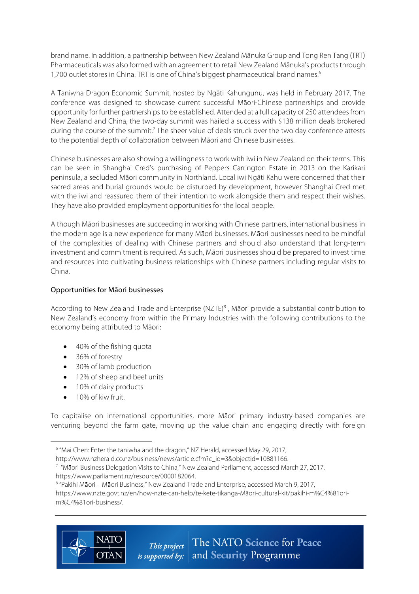brand name. In addition, a partnership between New Zealand Mānuka Group and Tong Ren Tang (TRT) Pharmaceuticals was also formed with an agreement to retail New Zealand Mānuka's products through 1,700 outlet stores in China. TRT is one of China's biggest pharmaceutical brand names.<sup>6</sup>

A Taniwha Dragon Economic Summit, hosted by Ngāti Kahungunu, was held in February 2017. The conference was designed to showcase current successful Māori-Chinese partnerships and provide opportunity for further partnerships to be established. Attended at a full capacity of 250 attendees from New Zealand and China, the two-day summit was hailed a success with \$138 million deals brokered during the course of the summit.<sup>7</sup> The sheer value of deals struck over the two day conference attests to the potential depth of collaboration between Māori and Chinese businesses.

Chinese businesses are also showing a willingness to work with iwi in New Zealand on their terms. This can be seen in Shanghai Cred's purchasing of Peppers Carrington Estate in 2013 on the Karikari peninsula, a secluded Māori community in Northland. Local iwi Ngāti Kahu were concerned that their sacred areas and burial grounds would be disturbed by development, however Shanghai Cred met with the iwi and reassured them of their intention to work alongside them and respect their wishes. They have also provided employment opportunities for the local people.

Although Māori businesses are succeeding in working with Chinese partners, international business in the modern age is a new experience for many Māori businesses. Māori businesses need to be mindful of the complexities of dealing with Chinese partners and should also understand that long-term investment and commitment is required. As such, Māori businesses should be prepared to invest time and resources into cultivating business relationships with Chinese partners including regular visits to China.

## Opportunities for Māori businesses

According to New Zealand Trade and Enterprise (NZTE)<sup>8</sup>, Ma<sup>ori</sup> provide a substantial contribution to New Zealand's economy from within the Primary Industries with the following contributions to the economy being attributed to Māori:

- 40% of the fishing quota
- 36% of forestry
- 30% of lamb production
- 12% of sheep and beef units
- 10% of dairy products
- 10% of kiwifruit.

 $\overline{a}$ 

To capitalise on international opportunities, more Māori primary industry-based companies are venturing beyond the farm gate, moving up the value chain and engaging directly with foreign

https://www.nzte.govt.nz/en/how-nzte-can-help/te-kete-tikanga-Māori-cultural-kit/pakihi-m%C4%81orim%C4%81ori-business/.



<sup>&</sup>lt;sup>6</sup> "Mai Chen: Enter the taniwha and the dragon," NZ Herald, accessed May 29, 2017,

http://www.nzherald.co.nz/business/news/article.cfm?c\_id=3&objectid=10881166.

 $7$  "Māori Business Delegation Visits to China," New Zealand Parliament, accessed March 27, 2017, https://www.parliament.nz/resource/0000182064.<br><sup>8</sup> "Pakihi M**ā**ori – M**ā**ori Business," New Zealand Trade and Enterprise, accessed March 9, 2017,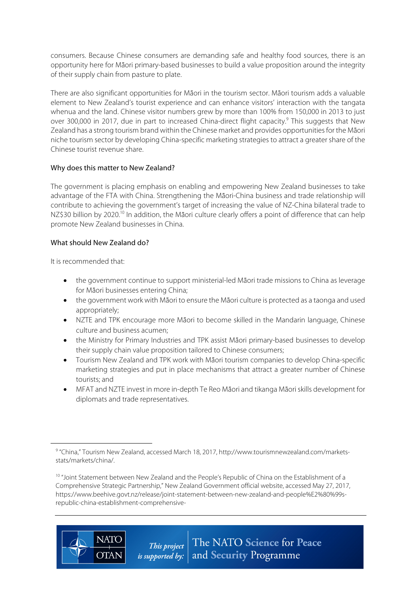consumers. Because Chinese consumers are demanding safe and healthy food sources, there is an opportunity here for Māori primary-based businesses to build a value proposition around the integrity of their supply chain from pasture to plate.

There are also significant opportunities for Māori in the tourism sector. Māori tourism adds a valuable element to New Zealand's tourist experience and can enhance visitors' interaction with the tangata whenua and the land. Chinese visitor numbers grew by more than 100% from 150,000 in 2013 to just over 300,000 in 2017, due in part to increased China-direct flight capacity.<sup>9</sup> This suggests that New Zealand has a strong tourism brand within the Chinese market and provides opportunitiesfor the Māori niche tourism sector by developing China-specific marketing strategies to attract a greater share of the Chinese tourist revenue share.

## Why does this matter to New Zealand?

The government is placing emphasis on enabling and empowering New Zealand businesses to take advantage of the FTA with China. Strengthening the Māori-China business and trade relationship will contribute to achieving the government's target of increasing the value of NZ-China bilateral trade to NZ\$30 billion by 2020.<sup>10</sup> In addition, the Māori culture clearly offers a point of difference that can help promote New Zealand businesses in China.

## What should New Zealand do?

It is recommended that:

- the government continue to support ministerial-led Māori trade missions to China as leverage for Māori businesses entering China;
- the government work with Māori to ensure the Māori culture is protected as a taonga and used appropriately;
- NZTE and TPK encourage more Māori to become skilled in the Mandarin language, Chinese culture and business acumen;
- the Ministry for Primary Industries and TPK assist Māori primary-based businesses to develop their supply chain value proposition tailored to Chinese consumers;
- Tourism New Zealand and TPK work with Māori tourism companies to develop China-specific marketing strategies and put in place mechanisms that attract a greater number of Chinese tourists; and
- MFAT and NZTE invest in more in-depth Te Reo Māori and tikanga Māori skills development for diplomats and trade representatives.

<sup>&</sup>lt;sup>10</sup> "Joint Statement between New Zealand and the People's Republic of China on the Establishment of a Comprehensive Strategic Partnership," New Zealand Government official website, accessed May 27, 2017, https://www.beehive.govt.nz/release/joint-statement-between-new-zealand-and-people%E2%80%99srepublic-china-establishment-comprehensive-



 $\overline{a}$ 

<sup>9</sup> "China," Tourism New Zealand, accessed March 18, 2017, http://www.tourismnewzealand.com/marketsstats/markets/china/.